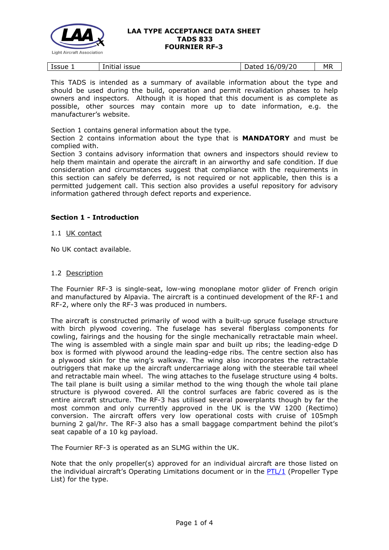

|  | Issue | .<br><b>ISSUE</b><br>Initial | 109/20<br>hatad<br>6/<br>Daleu | МR |
|--|-------|------------------------------|--------------------------------|----|
|--|-------|------------------------------|--------------------------------|----|

This TADS is intended as a summary of available information about the type and should be used during the build, operation and permit revalidation phases to help owners and inspectors. Although it is hoped that this document is as complete as possible, other sources may contain more up to date information, e.g. the manufacturer's website.

Section 1 contains general information about the type.

Section 2 contains information about the type that is **MANDATORY** and must be complied with.

Section 3 contains advisory information that owners and inspectors should review to help them maintain and operate the aircraft in an airworthy and safe condition. If due consideration and circumstances suggest that compliance with the requirements in this section can safely be deferred, is not required or not applicable, then this is a permitted judgement call. This section also provides a useful repository for advisory information gathered through defect reports and experience.

# **Section 1 - Introduction**

## 1.1 UK contact

No UK contact available.

### 1.2 Description

The Fournier RF-3 is single-seat, low-wing monoplane motor glider of French origin and manufactured by Alpavia. The aircraft is a continued development of the RF-1 and RF-2, where only the RF-3 was produced in numbers.

The aircraft is constructed primarily of wood with a built-up spruce fuselage structure with birch plywood covering. The fuselage has several fiberglass components for cowling, fairings and the housing for the single mechanically retractable main wheel. The wing is assembled with a single main spar and built up ribs; the leading-edge D box is formed with plywood around the leading-edge ribs. The centre section also has a plywood skin for the wing's walkway. The wing also incorporates the retractable outriggers that make up the aircraft undercarriage along with the steerable tail wheel and retractable main wheel. The wing attaches to the fuselage structure using 4 bolts. The tail plane is built using a similar method to the wing though the whole tail plane structure is plywood covered. All the control surfaces are fabric covered as is the entire aircraft structure. The RF-3 has utilised several powerplants though by far the most common and only currently approved in the UK is the VW 1200 (Rectimo) conversion. The aircraft offers very low operational costs with cruise of 105mph burning 2 gal/hr. The RF-3 also has a small baggage compartment behind the pilot's seat capable of a 10 kg payload.

The Fournier RF-3 is operated as an SLMG within the UK.

Note that the only propeller(s) approved for an individual aircraft are those listed on the individual aircraft's Operating Limitations document or in the [PTL/1](http://www.lightaircraftassociation.co.uk/engineering/NewMods/PTL.html) (Propeller Type List) for the type.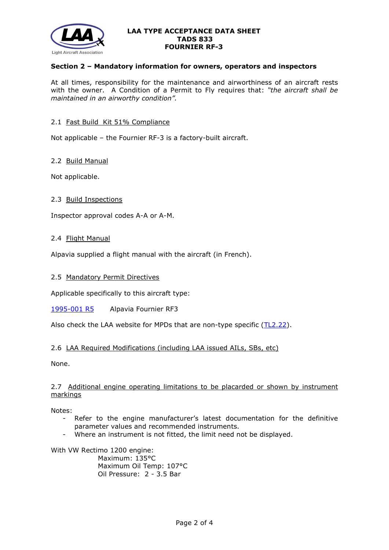

## **Section 2 – Mandatory information for owners, operators and inspectors**

At all times, responsibility for the maintenance and airworthiness of an aircraft rests with the owner. A Condition of a Permit to Fly requires that: *"the aircraft shall be maintained in an airworthy condition".* 

## 2.1 Fast Build Kit 51% Compliance

Not applicable – the Fournier RF-3 is a factory-built aircraft.

## 2.2 Build Manual

Not applicable.

## 2.3 Build Inspections

Inspector approval codes A-A or A-M.

### 2.4 Flight Manual

Alpavia supplied a flight manual with the aircraft (in French).

### 2.5 Mandatory Permit Directives

Applicable specifically to this aircraft type:

[1995-001 R5](http://www.lightaircraftassociation.co.uk/engineering/TADs/833/mpf1995-001r5.pdf) Alpavia Fournier RF3

Also check the LAA website for MPDs that are non-type specific [\(TL2.22\)](http://www.lightaircraftassociation.co.uk/engineering/TechnicalLeaflets/Operating%20An%20Aircraft/TL%202.22%20non-type%20specific%20MPDs.pdf).

## 2.6 LAA Required Modifications (including LAA issued AILs, SBs, etc)

None.

## 2.7 Additional engine operating limitations to be placarded or shown by instrument markings

Notes:

- Refer to the engine manufacturer's latest documentation for the definitive parameter values and recommended instruments.
- Where an instrument is not fitted, the limit need not be displayed.

With VW Rectimo 1200 engine:

Maximum: 135°C Maximum Oil Temp: 107°C Oil Pressure: 2 - 3.5 Bar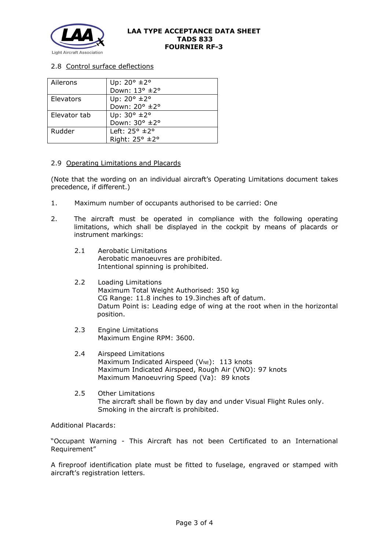

# 2.8 Control surface deflections

| Ailerons     | Up: $20^{\circ}$ ± $2^{\circ}$   |
|--------------|----------------------------------|
|              | Down: 13° ±2°                    |
| Elevators    | Up: $20^{\circ}$ $\pm 2^{\circ}$ |
|              | Down: 20° ±2°                    |
| Elevator tab | Up: $30^{\circ}$ ±2°             |
|              | Down: 30° ±2°                    |
| Rudder       | Left: $25^\circ \pm 2^\circ$     |
|              | Right: 25° ±2°                   |

### 2.9 Operating Limitations and Placards

(Note that the wording on an individual aircraft's Operating Limitations document takes precedence, if different.)

- 1. Maximum number of occupants authorised to be carried: One
- 2. The aircraft must be operated in compliance with the following operating limitations, which shall be displayed in the cockpit by means of placards or instrument markings:
	- 2.1 Aerobatic Limitations Aerobatic manoeuvres are prohibited. Intentional spinning is prohibited.
	- 2.2 Loading Limitations Maximum Total Weight Authorised: 350 kg CG Range: 11.8 inches to 19.3inches aft of datum. Datum Point is: Leading edge of wing at the root when in the horizontal position.
	- 2.3 Engine Limitations Maximum Engine RPM: 3600.
	- 2.4 Airspeed Limitations Maximum Indicated Airspeed ( $V_{NE}$ ): 113 knots Maximum Indicated Airspeed, Rough Air (VNO): 97 knots Maximum Manoeuvring Speed (Va): 89 knots
	- 2.5 Other Limitations The aircraft shall be flown by day and under Visual Flight Rules only. Smoking in the aircraft is prohibited.

Additional Placards:

"Occupant Warning - This Aircraft has not been Certificated to an International Requirement"

A fireproof identification plate must be fitted to fuselage, engraved or stamped with aircraft's registration letters.